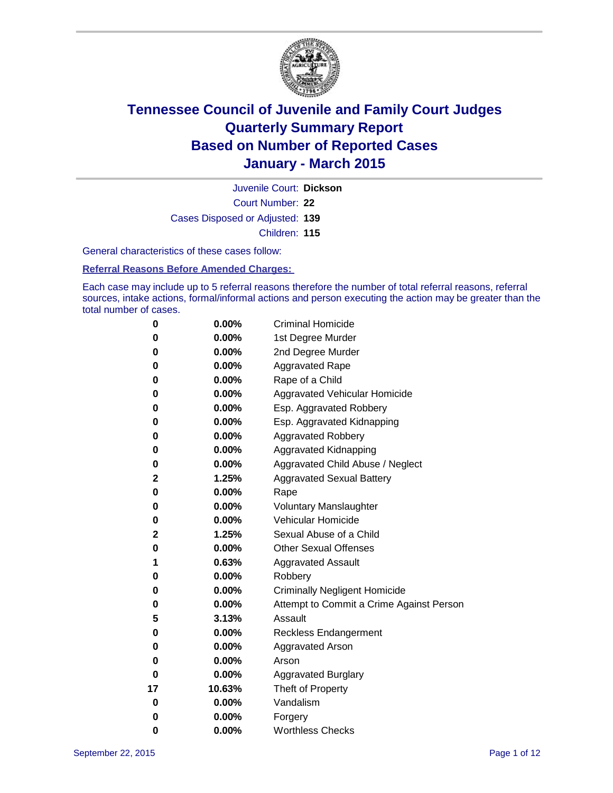

Court Number: **22** Juvenile Court: **Dickson** Cases Disposed or Adjusted: **139** Children: **115**

General characteristics of these cases follow:

**Referral Reasons Before Amended Charges:** 

Each case may include up to 5 referral reasons therefore the number of total referral reasons, referral sources, intake actions, formal/informal actions and person executing the action may be greater than the total number of cases.

| 0  | 0.00%    | <b>Criminal Homicide</b>                 |
|----|----------|------------------------------------------|
| 0  | 0.00%    | 1st Degree Murder                        |
| 0  | 0.00%    | 2nd Degree Murder                        |
| 0  | 0.00%    | <b>Aggravated Rape</b>                   |
| 0  | $0.00\%$ | Rape of a Child                          |
| 0  | 0.00%    | Aggravated Vehicular Homicide            |
| 0  | 0.00%    | Esp. Aggravated Robbery                  |
| 0  | 0.00%    | Esp. Aggravated Kidnapping               |
| 0  | 0.00%    | <b>Aggravated Robbery</b>                |
| 0  | 0.00%    | Aggravated Kidnapping                    |
| 0  | 0.00%    | Aggravated Child Abuse / Neglect         |
| 2  | 1.25%    | <b>Aggravated Sexual Battery</b>         |
| 0  | 0.00%    | Rape                                     |
| 0  | 0.00%    | <b>Voluntary Manslaughter</b>            |
| 0  | 0.00%    | Vehicular Homicide                       |
| 2  | 1.25%    | Sexual Abuse of a Child                  |
| 0  | 0.00%    | <b>Other Sexual Offenses</b>             |
| 1  | 0.63%    | <b>Aggravated Assault</b>                |
| 0  | 0.00%    | Robbery                                  |
| 0  | $0.00\%$ | <b>Criminally Negligent Homicide</b>     |
| 0  | 0.00%    | Attempt to Commit a Crime Against Person |
| 5  | 3.13%    | Assault                                  |
| 0  | 0.00%    | Reckless Endangerment                    |
| 0  | 0.00%    | <b>Aggravated Arson</b>                  |
| 0  | 0.00%    | Arson                                    |
| 0  | 0.00%    | <b>Aggravated Burglary</b>               |
| 17 | 10.63%   | Theft of Property                        |
| 0  | 0.00%    | Vandalism                                |
| 0  | 0.00%    | Forgery                                  |
| 0  | 0.00%    | <b>Worthless Checks</b>                  |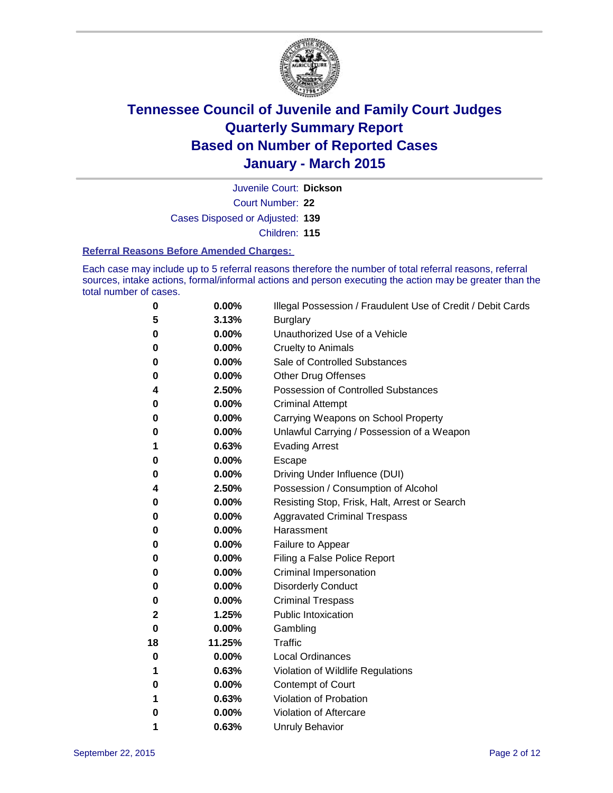

Court Number: **22** Juvenile Court: **Dickson** Cases Disposed or Adjusted: **139** Children: **115**

#### **Referral Reasons Before Amended Charges:**

Each case may include up to 5 referral reasons therefore the number of total referral reasons, referral sources, intake actions, formal/informal actions and person executing the action may be greater than the total number of cases.

| 0        | 0.00%  | Illegal Possession / Fraudulent Use of Credit / Debit Cards |
|----------|--------|-------------------------------------------------------------|
| 5        | 3.13%  | <b>Burglary</b>                                             |
| 0        | 0.00%  | Unauthorized Use of a Vehicle                               |
| 0        | 0.00%  | Cruelty to Animals                                          |
| 0        | 0.00%  | Sale of Controlled Substances                               |
| 0        | 0.00%  | Other Drug Offenses                                         |
| 4        | 2.50%  | <b>Possession of Controlled Substances</b>                  |
| 0        | 0.00%  | <b>Criminal Attempt</b>                                     |
| 0        | 0.00%  | Carrying Weapons on School Property                         |
| 0        | 0.00%  | Unlawful Carrying / Possession of a Weapon                  |
| 1        | 0.63%  | <b>Evading Arrest</b>                                       |
| 0        | 0.00%  | Escape                                                      |
| 0        | 0.00%  | Driving Under Influence (DUI)                               |
| 4        | 2.50%  | Possession / Consumption of Alcohol                         |
| 0        | 0.00%  | Resisting Stop, Frisk, Halt, Arrest or Search               |
| 0        | 0.00%  | <b>Aggravated Criminal Trespass</b>                         |
| 0        | 0.00%  | Harassment                                                  |
| 0        | 0.00%  | Failure to Appear                                           |
| 0        | 0.00%  | Filing a False Police Report                                |
| 0        | 0.00%  | <b>Criminal Impersonation</b>                               |
| 0        | 0.00%  | <b>Disorderly Conduct</b>                                   |
| 0        | 0.00%  | <b>Criminal Trespass</b>                                    |
| 2        | 1.25%  | <b>Public Intoxication</b>                                  |
| $\bf{0}$ | 0.00%  | Gambling                                                    |
| 18       | 11.25% | <b>Traffic</b>                                              |
| 0        | 0.00%  | <b>Local Ordinances</b>                                     |
| 1        | 0.63%  | Violation of Wildlife Regulations                           |
| 0        | 0.00%  | Contempt of Court                                           |
| 1        | 0.63%  | Violation of Probation                                      |
| 0        | 0.00%  | Violation of Aftercare                                      |
| 1        | 0.63%  | <b>Unruly Behavior</b>                                      |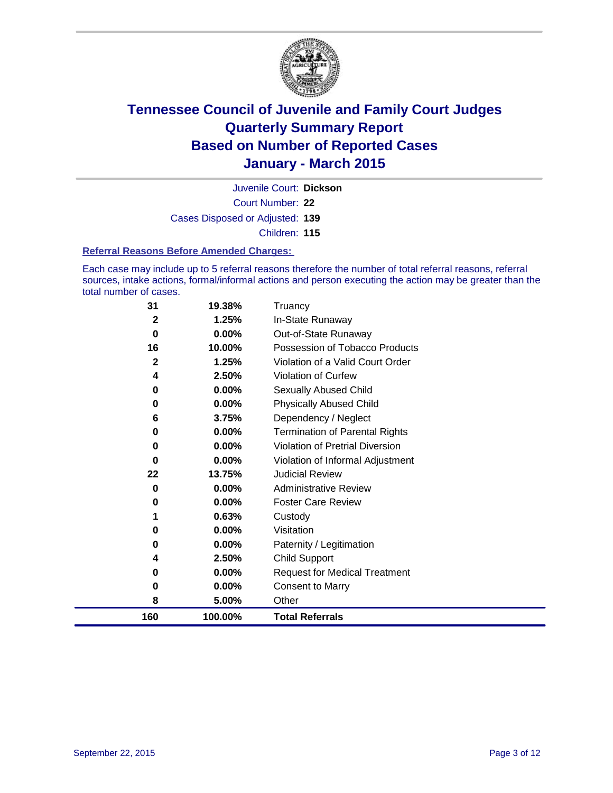

Court Number: **22** Juvenile Court: **Dickson** Cases Disposed or Adjusted: **139** Children: **115**

#### **Referral Reasons Before Amended Charges:**

Each case may include up to 5 referral reasons therefore the number of total referral reasons, referral sources, intake actions, formal/informal actions and person executing the action may be greater than the total number of cases.

| 31           | 19.38%  | Truancy                                |
|--------------|---------|----------------------------------------|
| $\mathbf{2}$ | 1.25%   | In-State Runaway                       |
| 0            | 0.00%   | Out-of-State Runaway                   |
| 16           | 10.00%  | Possession of Tobacco Products         |
| $\mathbf{2}$ | 1.25%   | Violation of a Valid Court Order       |
| 4            | 2.50%   | <b>Violation of Curfew</b>             |
| 0            | 0.00%   | Sexually Abused Child                  |
| 0            | 0.00%   | <b>Physically Abused Child</b>         |
| 6            | 3.75%   | Dependency / Neglect                   |
| 0            | 0.00%   | <b>Termination of Parental Rights</b>  |
| 0            | 0.00%   | <b>Violation of Pretrial Diversion</b> |
| 0            | 0.00%   | Violation of Informal Adjustment       |
| 22           | 13.75%  | <b>Judicial Review</b>                 |
| 0            | 0.00%   | <b>Administrative Review</b>           |
| 0            | 0.00%   | <b>Foster Care Review</b>              |
| 1            | 0.63%   | Custody                                |
| 0            | 0.00%   | Visitation                             |
| 0            | 0.00%   | Paternity / Legitimation               |
| 4            | 2.50%   | Child Support                          |
| 0            | 0.00%   | <b>Request for Medical Treatment</b>   |
| 0            | 0.00%   | <b>Consent to Marry</b>                |
| 8            | 5.00%   | Other                                  |
| 160          | 100.00% | <b>Total Referrals</b>                 |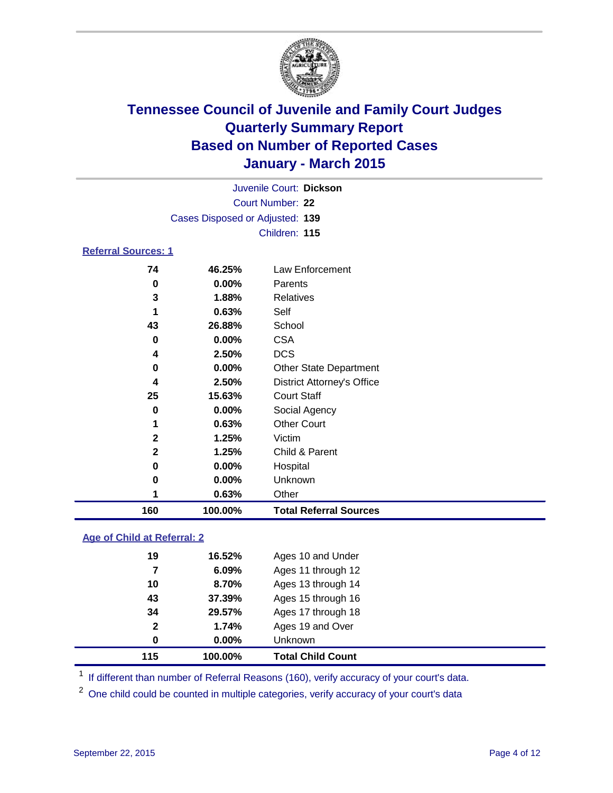

| Juvenile Court: Dickson         |  |
|---------------------------------|--|
| Court Number: 22                |  |
| Cases Disposed or Adjusted: 139 |  |
| Children: 115                   |  |
|                                 |  |

### **Referral Sources: 1**

| 160 | 100.00%  | <b>Total Referral Sources</b>     |
|-----|----------|-----------------------------------|
|     | 0.63%    | Other                             |
| 0   | $0.00\%$ | Unknown                           |
| 0   | $0.00\%$ | Hospital                          |
| 2   | 1.25%    | Child & Parent                    |
| 2   | 1.25%    | Victim                            |
| 1   | 0.63%    | <b>Other Court</b>                |
| 0   | $0.00\%$ | Social Agency                     |
| 25  | 15.63%   | <b>Court Staff</b>                |
| 4   | 2.50%    | <b>District Attorney's Office</b> |
| 0   | $0.00\%$ | <b>Other State Department</b>     |
| 4   | 2.50%    | <b>DCS</b>                        |
| 0   | $0.00\%$ | <b>CSA</b>                        |
| 43  | 26.88%   | School                            |
|     | 0.63%    | Self                              |
| 3   | 1.88%    | Relatives                         |
| 0   | $0.00\%$ | Parents                           |
| 74  | 46.25%   | Law Enforcement                   |

### **Age of Child at Referral: 2**

| 115          | 100.00% | <b>Total Child Count</b> |
|--------------|---------|--------------------------|
| 0            | 0.00%   | Unknown                  |
| $\mathbf{2}$ | 1.74%   | Ages 19 and Over         |
| 34           | 29.57%  | Ages 17 through 18       |
| 43           | 37.39%  | Ages 15 through 16       |
| 10           | 8.70%   | Ages 13 through 14       |
| 7            | 6.09%   | Ages 11 through 12       |
| 19           | 16.52%  | Ages 10 and Under        |

<sup>1</sup> If different than number of Referral Reasons (160), verify accuracy of your court's data.

One child could be counted in multiple categories, verify accuracy of your court's data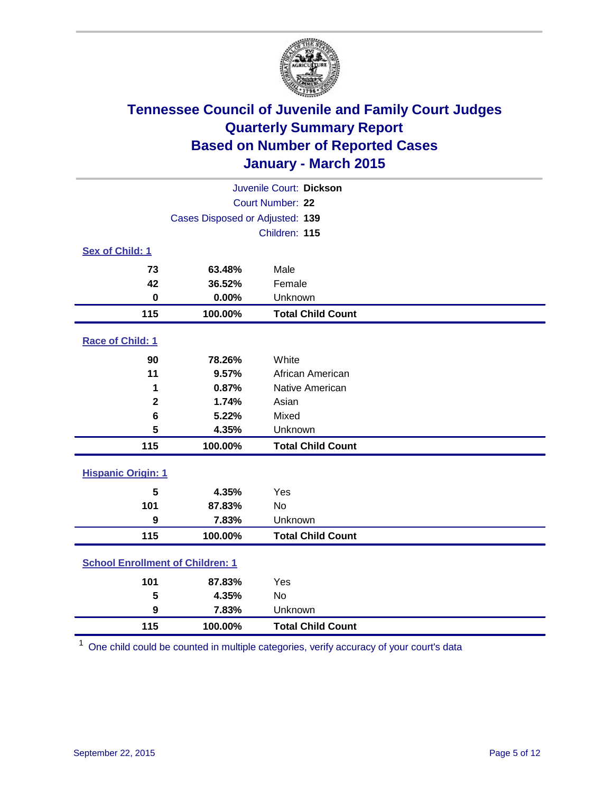

| Juvenile Court: Dickson                 |                                 |                          |  |
|-----------------------------------------|---------------------------------|--------------------------|--|
| Court Number: 22                        |                                 |                          |  |
|                                         | Cases Disposed or Adjusted: 139 |                          |  |
|                                         |                                 | Children: 115            |  |
| Sex of Child: 1                         |                                 |                          |  |
| 73                                      | 63.48%                          | Male                     |  |
| 42                                      | 36.52%                          | Female                   |  |
| $\mathbf 0$                             | 0.00%                           | Unknown                  |  |
| 115                                     | 100.00%                         | <b>Total Child Count</b> |  |
| Race of Child: 1                        |                                 |                          |  |
| 90                                      | 78.26%                          | White                    |  |
| 11                                      | 9.57%                           | African American         |  |
| 1                                       | 0.87%                           | Native American          |  |
| $\mathbf{2}$                            | 1.74%                           | Asian                    |  |
| 6                                       | 5.22%                           | Mixed                    |  |
| 5                                       | 4.35%                           | Unknown                  |  |
| 115                                     | 100.00%                         | <b>Total Child Count</b> |  |
| <b>Hispanic Origin: 1</b>               |                                 |                          |  |
| 5                                       | 4.35%                           | Yes                      |  |
| 101                                     | 87.83%                          | <b>No</b>                |  |
| 9                                       | 7.83%                           | Unknown                  |  |
| 115                                     | 100.00%                         | <b>Total Child Count</b> |  |
| <b>School Enrollment of Children: 1</b> |                                 |                          |  |
| 101                                     | 87.83%                          | Yes                      |  |
| 5                                       | 4.35%                           | <b>No</b>                |  |
| 9                                       | 7.83%                           | Unknown                  |  |
| 115                                     | 100.00%                         | <b>Total Child Count</b> |  |

One child could be counted in multiple categories, verify accuracy of your court's data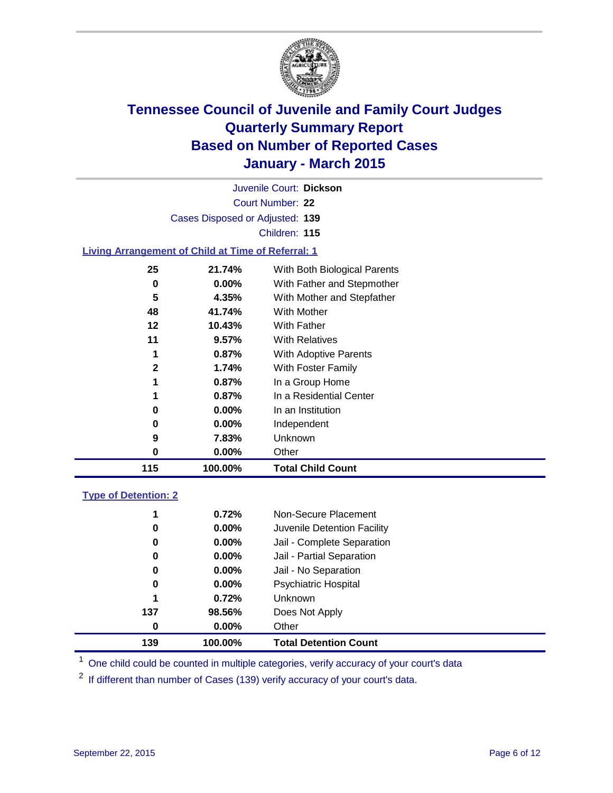

| Juvenile Court: Dickson                                   |                                 |                              |  |  |  |
|-----------------------------------------------------------|---------------------------------|------------------------------|--|--|--|
| Court Number: 22                                          |                                 |                              |  |  |  |
|                                                           | Cases Disposed or Adjusted: 139 |                              |  |  |  |
|                                                           | Children: 115                   |                              |  |  |  |
| <b>Living Arrangement of Child at Time of Referral: 1</b> |                                 |                              |  |  |  |
| 25                                                        | 21.74%                          | With Both Biological Parents |  |  |  |
| 0                                                         | $0.00\%$                        | With Father and Stepmother   |  |  |  |
| 5                                                         | 4.35%                           | With Mother and Stepfather   |  |  |  |
| 48                                                        | 41.74%                          | With Mother                  |  |  |  |
| 12                                                        | 10.43%                          | With Father                  |  |  |  |
| 11                                                        | $9.57\%$                        | <b>With Relatives</b>        |  |  |  |
| 1                                                         | $0.87\%$                        | <b>With Adoptive Parents</b> |  |  |  |
| $\mathbf{2}$                                              | 1.74%                           | With Foster Family           |  |  |  |
| 1                                                         | $0.87\%$                        | In a Group Home              |  |  |  |
| 1                                                         | $0.87\%$                        | In a Residential Center      |  |  |  |
| 0                                                         | $0.00\%$                        | In an Institution            |  |  |  |
| 0                                                         | $0.00\%$                        | Independent                  |  |  |  |
| 9                                                         | 7.83%                           | Unknown                      |  |  |  |
| 0                                                         | $0.00\%$                        | Other                        |  |  |  |
| 115                                                       | 100.00%                         | Total Child Count            |  |  |  |

### **Type of Detention: 2**

| 1   | 0.72%    | Non-Secure Placement         |
|-----|----------|------------------------------|
| 0   | $0.00\%$ | Juvenile Detention Facility  |
| 0   | $0.00\%$ | Jail - Complete Separation   |
| 0   | $0.00\%$ | Jail - Partial Separation    |
| 0   | $0.00\%$ | Jail - No Separation         |
| 0   | $0.00\%$ | <b>Psychiatric Hospital</b>  |
| 1   | 0.72%    | <b>Unknown</b>               |
| 137 | 98.56%   | Does Not Apply               |
| 0   | $0.00\%$ | Other                        |
| 139 | 100.00%  | <b>Total Detention Count</b> |

<sup>1</sup> One child could be counted in multiple categories, verify accuracy of your court's data

If different than number of Cases (139) verify accuracy of your court's data.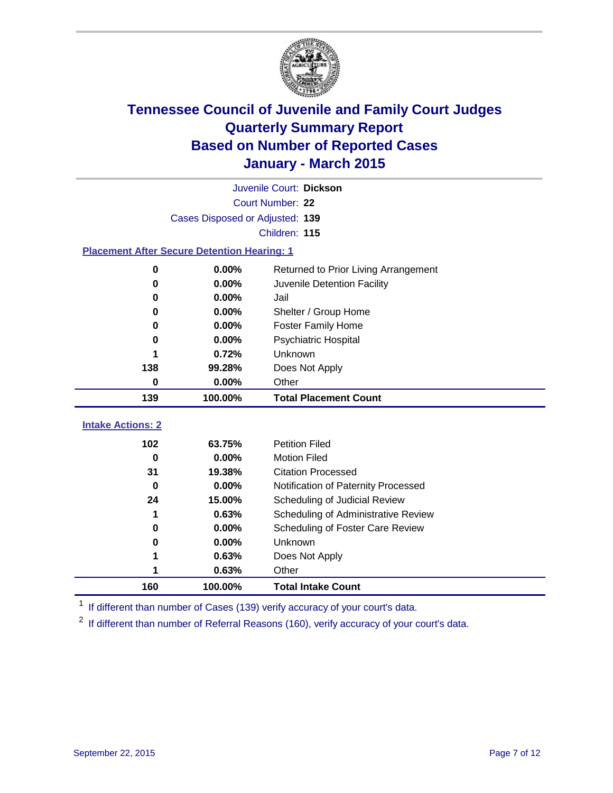

| Juvenile Court: Dickson                            |                                 |                                      |  |  |  |
|----------------------------------------------------|---------------------------------|--------------------------------------|--|--|--|
| Court Number: 22                                   |                                 |                                      |  |  |  |
|                                                    | Cases Disposed or Adjusted: 139 |                                      |  |  |  |
|                                                    |                                 | Children: 115                        |  |  |  |
| <b>Placement After Secure Detention Hearing: 1</b> |                                 |                                      |  |  |  |
| 0                                                  | 0.00%                           | Returned to Prior Living Arrangement |  |  |  |
| 0                                                  | 0.00%                           | Juvenile Detention Facility          |  |  |  |
| 0                                                  | 0.00%                           | Jail                                 |  |  |  |
| 0                                                  | 0.00%                           | Shelter / Group Home                 |  |  |  |
| $\bf{0}$                                           | 0.00%                           | <b>Foster Family Home</b>            |  |  |  |
| 0                                                  | 0.00%                           | <b>Psychiatric Hospital</b>          |  |  |  |
|                                                    | 0.72%                           | Unknown                              |  |  |  |
| 138                                                | 99.28%                          | Does Not Apply                       |  |  |  |
| $\bf{0}$                                           | 0.00%                           | Other                                |  |  |  |
| 139                                                | 100.00%                         | <b>Total Placement Count</b>         |  |  |  |
| <b>Intake Actions: 2</b>                           |                                 |                                      |  |  |  |
|                                                    |                                 |                                      |  |  |  |
| 102                                                | 63.75%                          | <b>Petition Filed</b>                |  |  |  |
| 0                                                  | 0.00%                           | <b>Motion Filed</b>                  |  |  |  |
| 31                                                 | 19.38%                          | <b>Citation Processed</b>            |  |  |  |
| $\bf{0}$                                           | 0.00%                           | Notification of Paternity Processed  |  |  |  |
| 24                                                 | 15.00%                          | Scheduling of Judicial Review        |  |  |  |
| 1                                                  | 0.63%                           | Scheduling of Administrative Review  |  |  |  |
| 0                                                  | 0.00%                           | Scheduling of Foster Care Review     |  |  |  |
| 0                                                  | 0.00%                           | Unknown                              |  |  |  |
|                                                    | 0.63%                           | Does Not Apply                       |  |  |  |
|                                                    | 0.63%                           | Other                                |  |  |  |
| 160                                                | 100.00%                         | <b>Total Intake Count</b>            |  |  |  |

<sup>1</sup> If different than number of Cases (139) verify accuracy of your court's data.

<sup>2</sup> If different than number of Referral Reasons (160), verify accuracy of your court's data.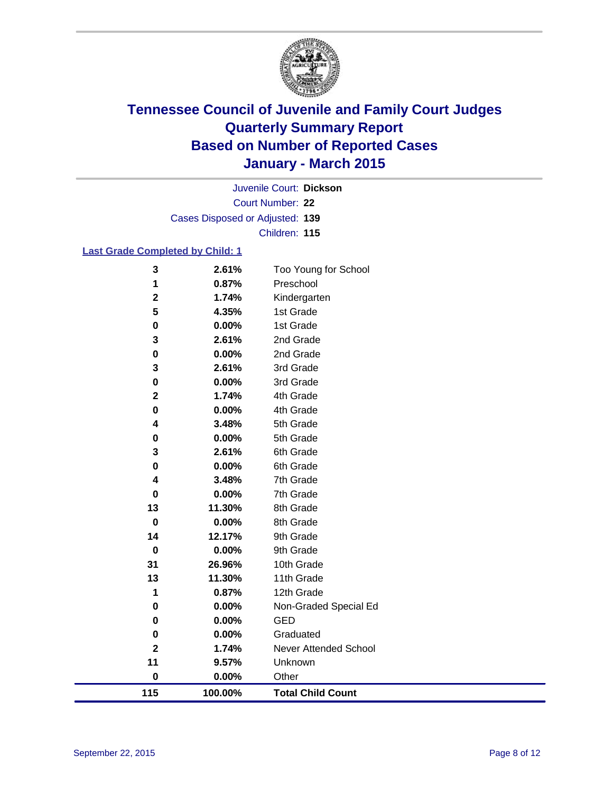

Court Number: **22** Juvenile Court: **Dickson** Cases Disposed or Adjusted: **139** Children: **115**

### **Last Grade Completed by Child: 1**

| 115                     | 100.00%        | <b>Total Child Count</b> |
|-------------------------|----------------|--------------------------|
| $\pmb{0}$               | 0.00%          | Other                    |
| 11                      | 9.57%          | Unknown                  |
| $\mathbf 2$             | 1.74%          | Never Attended School    |
| $\mathbf 0$             | 0.00%          | Graduated                |
| 0                       | 0.00%          | <b>GED</b>               |
| $\pmb{0}$               | 0.00%          | Non-Graded Special Ed    |
| 1                       | 0.87%          | 12th Grade               |
| 13                      | 11.30%         | 11th Grade               |
| 31                      | 26.96%         | 10th Grade               |
| $\bf{0}$                | 0.00%          | 9th Grade                |
| 14                      | 12.17%         | 9th Grade                |
| $\mathbf 0$             | 0.00%          | 8th Grade                |
| 13                      | 11.30%         | 8th Grade                |
| $\mathbf 0$             | 0.00%          | 7th Grade                |
| 4                       | 3.48%          | 7th Grade                |
| 0                       | 0.00%          | 6th Grade                |
| 3                       | 2.61%          | 6th Grade                |
| $\pmb{0}$               | 3.48%<br>0.00% | 5th Grade<br>5th Grade   |
| $\pmb{0}$<br>4          | 0.00%          | 4th Grade                |
| $\mathbf 2$             | 1.74%          | 4th Grade                |
| $\pmb{0}$               | 0.00%          | 3rd Grade                |
| 3                       | 2.61%          | 3rd Grade                |
| $\pmb{0}$               | 0.00%          | 2nd Grade                |
| 3                       | 2.61%          | 2nd Grade                |
| $\pmb{0}$               | 0.00%          | 1st Grade                |
| $\overline{\mathbf{5}}$ | 4.35%          | 1st Grade                |
| $\mathbf 2$             | 1.74%          | Kindergarten             |
| 1                       | 0.87%          | Preschool                |
| 3                       | 2.61%          | Too Young for School     |
|                         |                |                          |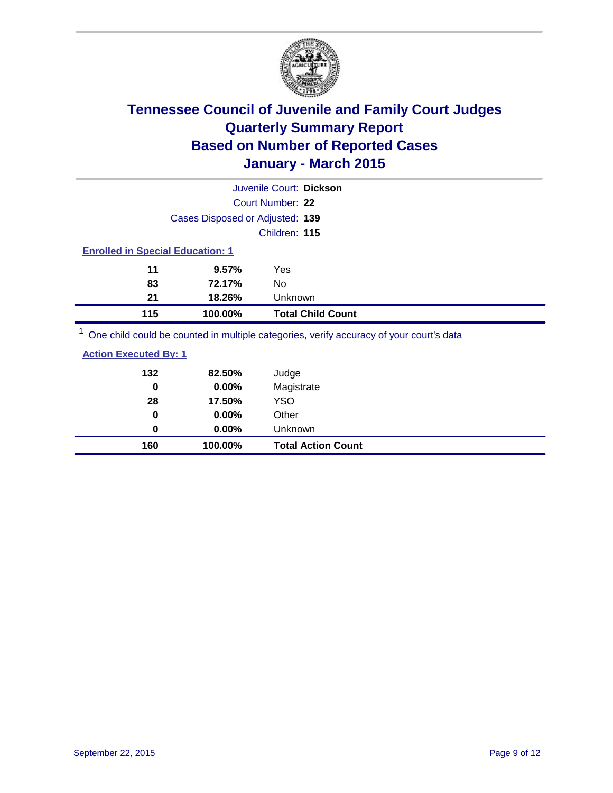

|                                                                                         | Juvenile Court: Dickson  |  |  |  |
|-----------------------------------------------------------------------------------------|--------------------------|--|--|--|
| Court Number: 22                                                                        |                          |  |  |  |
| Cases Disposed or Adjusted: 139                                                         |                          |  |  |  |
|                                                                                         | Children: 115            |  |  |  |
| <b>Enrolled in Special Education: 1</b>                                                 |                          |  |  |  |
| 11<br>9.57%                                                                             | Yes                      |  |  |  |
| 83<br>72.17%                                                                            | No                       |  |  |  |
| 21<br>Unknown<br>18.26%                                                                 |                          |  |  |  |
| 115<br>100.00%                                                                          | <b>Total Child Count</b> |  |  |  |
| One child could be counted in multiple categories, verify accuracy of your court's data |                          |  |  |  |

| 160                          | 100.00% | <b>Total Action Count</b> |
|------------------------------|---------|---------------------------|
| 0                            | 0.00%   | Unknown                   |
| $\mathbf 0$                  | 0.00%   | Other                     |
| 28                           | 17.50%  | YSO                       |
| 0                            | 0.00%   | Magistrate                |
| 132                          | 82.50%  | Judge                     |
| <b>Action Executed By: 1</b> |         |                           |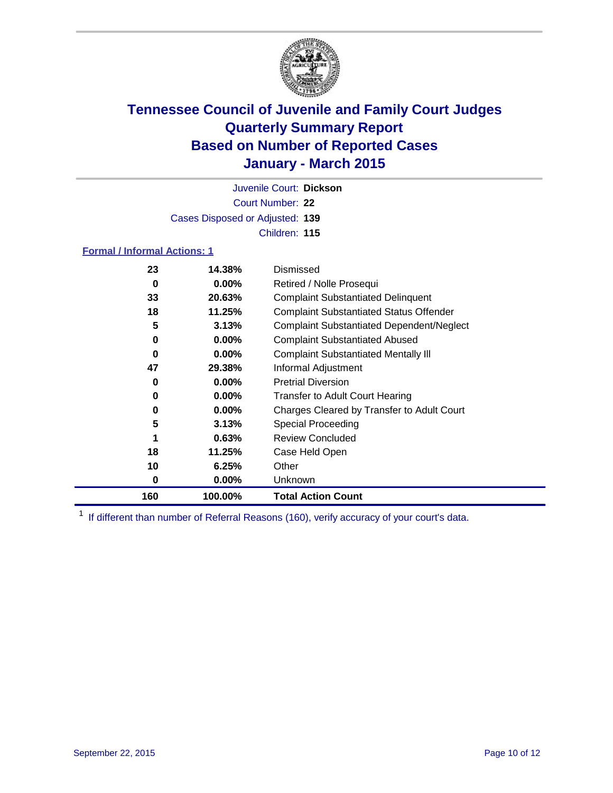

Court Number: **22** Juvenile Court: **Dickson** Cases Disposed or Adjusted: **139** Children: **115**

### **Formal / Informal Actions: 1**

| 23  | 14.38%   | Dismissed                                        |
|-----|----------|--------------------------------------------------|
| 0   | $0.00\%$ | Retired / Nolle Prosequi                         |
| 33  | 20.63%   | <b>Complaint Substantiated Delinquent</b>        |
| 18  | 11.25%   | <b>Complaint Substantiated Status Offender</b>   |
| 5   | 3.13%    | <b>Complaint Substantiated Dependent/Neglect</b> |
| 0   | $0.00\%$ | <b>Complaint Substantiated Abused</b>            |
| 0   | $0.00\%$ | <b>Complaint Substantiated Mentally III</b>      |
| 47  | 29.38%   | Informal Adjustment                              |
| 0   | $0.00\%$ | <b>Pretrial Diversion</b>                        |
| 0   | $0.00\%$ | <b>Transfer to Adult Court Hearing</b>           |
| 0   | $0.00\%$ | Charges Cleared by Transfer to Adult Court       |
| 5   | 3.13%    | Special Proceeding                               |
| 1   | 0.63%    | <b>Review Concluded</b>                          |
| 18  | 11.25%   | Case Held Open                                   |
| 10  | 6.25%    | Other                                            |
| 0   | $0.00\%$ | Unknown                                          |
| 160 | 100.00%  | <b>Total Action Count</b>                        |

<sup>1</sup> If different than number of Referral Reasons (160), verify accuracy of your court's data.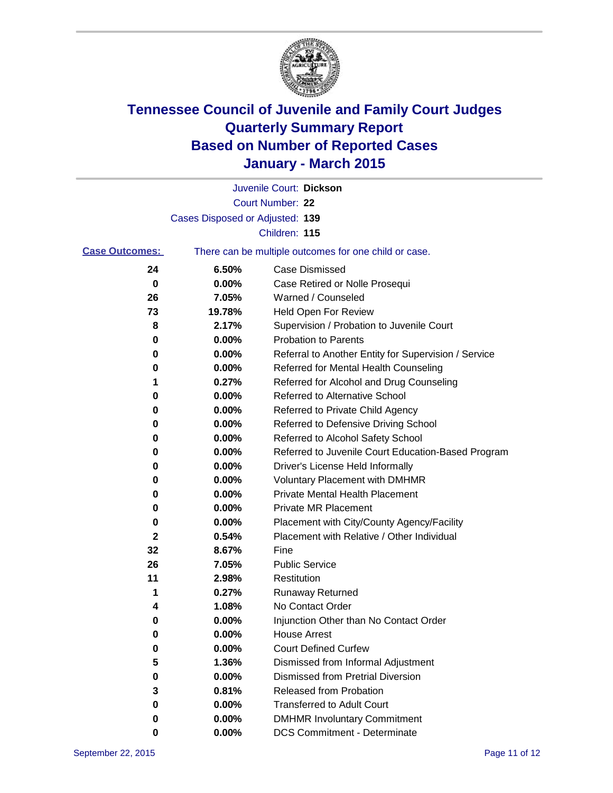

|                       |                                 | Juvenile Court: Dickson                               |
|-----------------------|---------------------------------|-------------------------------------------------------|
|                       |                                 | Court Number: 22                                      |
|                       | Cases Disposed or Adjusted: 139 |                                                       |
|                       |                                 | Children: 115                                         |
| <b>Case Outcomes:</b> |                                 | There can be multiple outcomes for one child or case. |
| 24                    | 6.50%                           | <b>Case Dismissed</b>                                 |
| 0                     | 0.00%                           | Case Retired or Nolle Prosequi                        |
| 26                    | 7.05%                           | Warned / Counseled                                    |
| 73                    | 19.78%                          | Held Open For Review                                  |
| 8                     | 2.17%                           | Supervision / Probation to Juvenile Court             |
| 0                     | 0.00%                           | <b>Probation to Parents</b>                           |
| 0                     | 0.00%                           | Referral to Another Entity for Supervision / Service  |
| 0                     | 0.00%                           | Referred for Mental Health Counseling                 |
| 1                     | 0.27%                           | Referred for Alcohol and Drug Counseling              |
| 0                     | 0.00%                           | <b>Referred to Alternative School</b>                 |
| 0                     | 0.00%                           | Referred to Private Child Agency                      |
| 0                     | 0.00%                           | Referred to Defensive Driving School                  |
| 0                     | 0.00%                           | Referred to Alcohol Safety School                     |
| 0                     | 0.00%                           | Referred to Juvenile Court Education-Based Program    |
| 0                     | 0.00%                           | Driver's License Held Informally                      |
| 0                     | 0.00%                           | <b>Voluntary Placement with DMHMR</b>                 |
| 0                     | 0.00%                           | <b>Private Mental Health Placement</b>                |
| 0                     | 0.00%                           | <b>Private MR Placement</b>                           |
| 0                     | 0.00%                           | Placement with City/County Agency/Facility            |
| 2                     | 0.54%                           | Placement with Relative / Other Individual            |
| 32                    | 8.67%                           | Fine                                                  |
| 26                    | 7.05%                           | <b>Public Service</b>                                 |
| 11                    | 2.98%                           | Restitution                                           |
| 1                     | 0.27%                           | <b>Runaway Returned</b>                               |
| 4                     | 1.08%                           | No Contact Order                                      |
| 0                     | 0.00%                           | Injunction Other than No Contact Order                |
| 0                     | 0.00%                           | <b>House Arrest</b>                                   |
| 0                     | 0.00%                           | <b>Court Defined Curfew</b>                           |
| 5                     | 1.36%                           | Dismissed from Informal Adjustment                    |
| 0                     | 0.00%                           | <b>Dismissed from Pretrial Diversion</b>              |
| 3                     | 0.81%                           | Released from Probation                               |
| 0                     | 0.00%                           | <b>Transferred to Adult Court</b>                     |
| 0                     | 0.00%                           | <b>DMHMR Involuntary Commitment</b>                   |
| 0                     | $0.00\%$                        | <b>DCS Commitment - Determinate</b>                   |